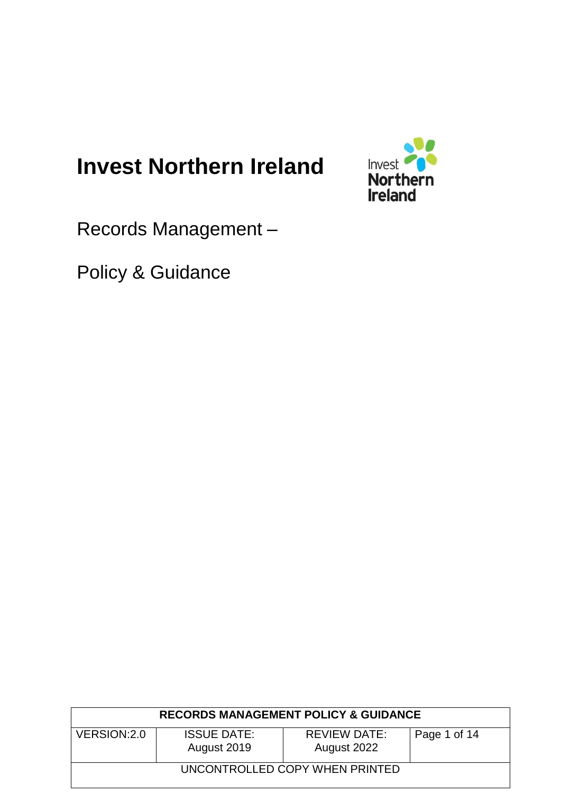# **Invest Northern Ireland**



Records Management –

Policy & Guidance

| <b>RECORDS MANAGEMENT POLICY &amp; GUIDANCE</b> |                                   |                                    |              |  |
|-------------------------------------------------|-----------------------------------|------------------------------------|--------------|--|
| VERSION: 2.0                                    | <b>ISSUE DATE:</b><br>August 2019 | <b>REVIEW DATE:</b><br>August 2022 | Page 1 of 14 |  |
| UNCONTROLLED COPY WHEN PRINTED                  |                                   |                                    |              |  |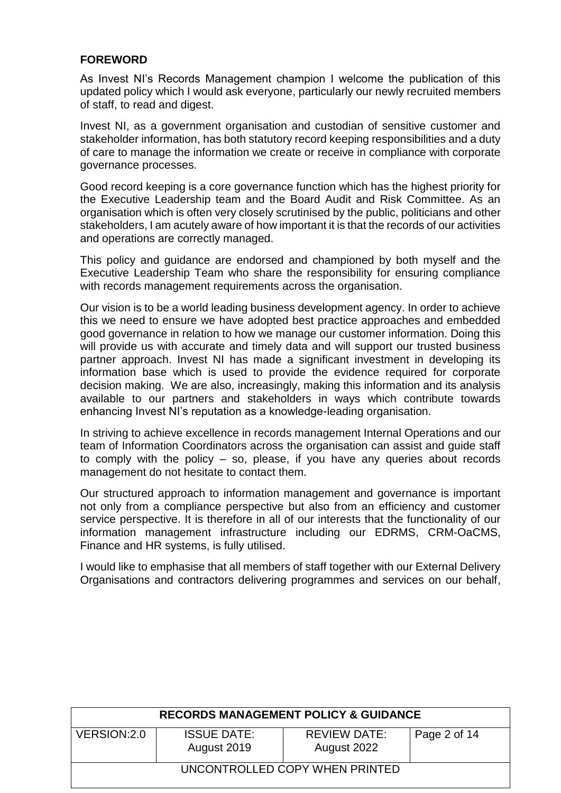## **FOREWORD**

As Invest NI's Records Management champion I welcome the publication of this updated policy which I would ask everyone, particularly our newly recruited members of staff, to read and digest.

Invest NI, as a government organisation and custodian of sensitive customer and stakeholder information, has both statutory record keeping responsibilities and a duty of care to manage the information we create or receive in compliance with corporate governance processes.

Good record keeping is a core governance function which has the highest priority for the Executive Leadership team and the Board Audit and Risk Committee. As an organisation which is often very closely scrutinised by the public, politicians and other stakeholders, I am acutely aware of how important it is that the records of our activities and operations are correctly managed.

This policy and guidance are endorsed and championed by both myself and the Executive Leadership Team who share the responsibility for ensuring compliance with records management requirements across the organisation.

Our vision is to be a world leading business development agency. In order to achieve this we need to ensure we have adopted best practice approaches and embedded good governance in relation to how we manage our customer information. Doing this will provide us with accurate and timely data and will support our trusted business partner approach. Invest NI has made a significant investment in developing its information base which is used to provide the evidence required for corporate decision making. We are also, increasingly, making this information and its analysis available to our partners and stakeholders in ways which contribute towards enhancing Invest NI's reputation as a knowledge-leading organisation.

In striving to achieve excellence in records management Internal Operations and our team of Information Coordinators across the organisation can assist and guide staff to comply with the policy – so, please, if you have any queries about records management do not hesitate to contact them.

Our structured approach to information management and governance is important not only from a compliance perspective but also from an efficiency and customer service perspective. It is therefore in all of our interests that the functionality of our information management infrastructure including our EDRMS, CRM-OaCMS, Finance and HR systems, is fully utilised.

I would like to emphasise that all members of staff together with our External Delivery Organisations and contractors delivering programmes and services on our behalf,

| <b>RECORDS MANAGEMENT POLICY &amp; GUIDANCE</b>                                                         |  |  |  |  |  |
|---------------------------------------------------------------------------------------------------------|--|--|--|--|--|
| VERSION: 2.0<br><b>ISSUE DATE:</b><br><b>REVIEW DATE:</b><br>Page 2 of 14<br>August 2019<br>August 2022 |  |  |  |  |  |
| UNCONTROLLED COPY WHEN PRINTED                                                                          |  |  |  |  |  |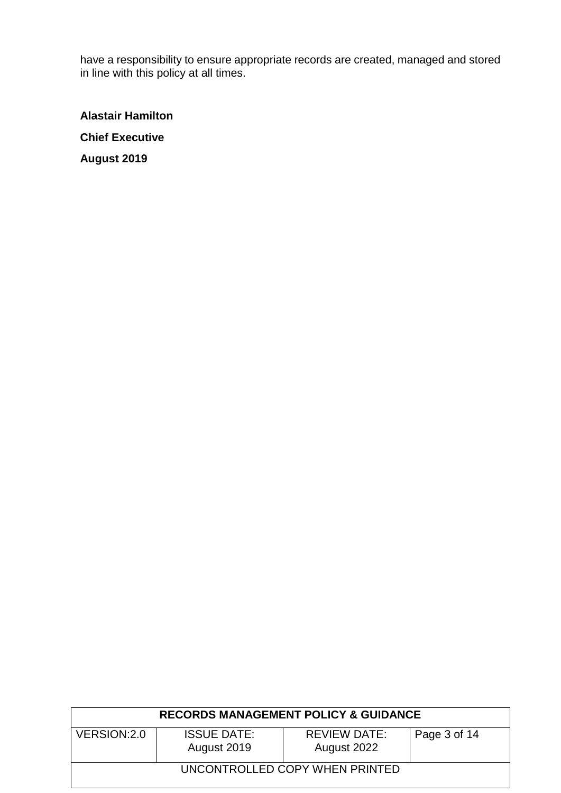have a responsibility to ensure appropriate records are created, managed and stored in line with this policy at all times.

**Alastair Hamilton Chief Executive August 2019**

| <b>RECORDS MANAGEMENT POLICY &amp; GUIDANCE</b> |                                   |                                    |              |  |
|-------------------------------------------------|-----------------------------------|------------------------------------|--------------|--|
| VERSION:2.0                                     | <b>ISSUE DATE:</b><br>August 2019 | <b>REVIEW DATE:</b><br>August 2022 | Page 3 of 14 |  |
| UNCONTROLLED COPY WHEN PRINTED                  |                                   |                                    |              |  |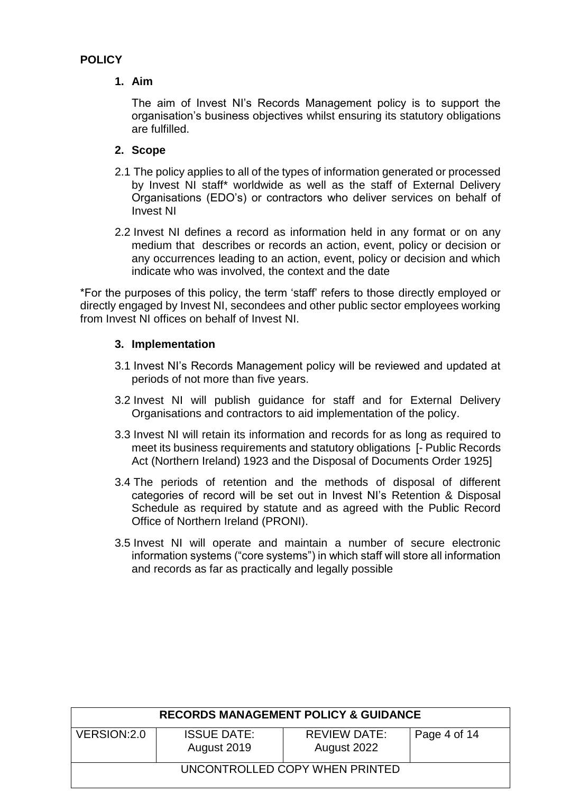# **POLICY**

# **1. Aim**

The aim of Invest NI's Records Management policy is to support the organisation's business objectives whilst ensuring its statutory obligations are fulfilled.

# **2. Scope**

- 2.1 The policy applies to all of the types of information generated or processed by Invest NI staff\* worldwide as well as the staff of External Delivery Organisations (EDO's) or contractors who deliver services on behalf of Invest NI
- 2.2 Invest NI defines a record as information held in any format or on any medium that describes or records an action, event, policy or decision or any occurrences leading to an action, event, policy or decision and which indicate who was involved, the context and the date

\*For the purposes of this policy, the term 'staff' refers to those directly employed or directly engaged by Invest NI, secondees and other public sector employees working from Invest NI offices on behalf of Invest NI.

# **3. Implementation**

- 3.1 Invest NI's Records Management policy will be reviewed and updated at periods of not more than five years.
- 3.2 Invest NI will publish guidance for staff and for External Delivery Organisations and contractors to aid implementation of the policy.
- 3.3 Invest NI will retain its information and records for as long as required to meet its business requirements and statutory obligations [- Public Records Act (Northern Ireland) 1923 and the Disposal of Documents Order 1925]
- 3.4 The periods of retention and the methods of disposal of different categories of record will be set out in Invest NI's Retention & Disposal Schedule as required by statute and as agreed with the Public Record Office of Northern Ireland (PRONI).
- 3.5 Invest NI will operate and maintain a number of secure electronic information systems ("core systems") in which staff will store all information and records as far as practically and legally possible

| <b>RECORDS MANAGEMENT POLICY &amp; GUIDANCE</b> |                                   |                                    |              |  |
|-------------------------------------------------|-----------------------------------|------------------------------------|--------------|--|
| VERSION: 2.0                                    | <b>ISSUE DATE:</b><br>August 2019 | <b>REVIEW DATE:</b><br>August 2022 | Page 4 of 14 |  |
| UNCONTROLLED COPY WHEN PRINTED                  |                                   |                                    |              |  |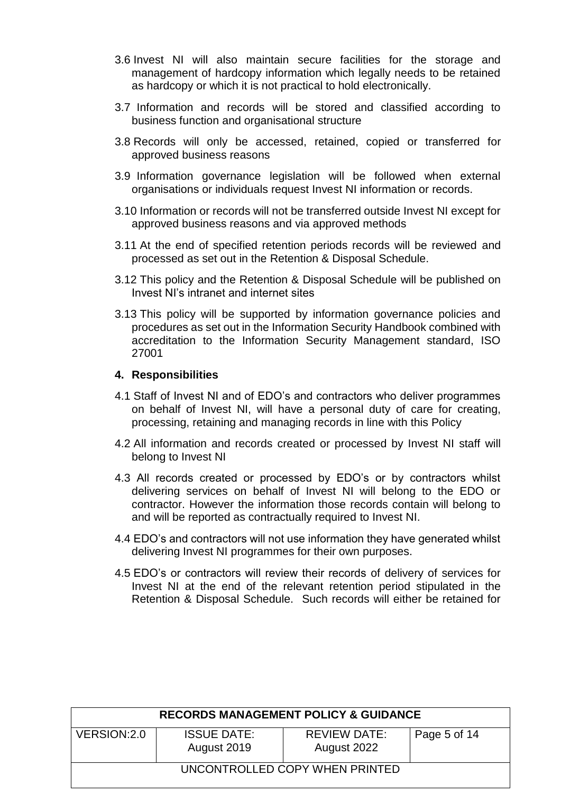- 3.6 Invest NI will also maintain secure facilities for the storage and management of hardcopy information which legally needs to be retained as hardcopy or which it is not practical to hold electronically.
- 3.7 Information and records will be stored and classified according to business function and organisational structure
- 3.8 Records will only be accessed, retained, copied or transferred for approved business reasons
- 3.9 Information governance legislation will be followed when external organisations or individuals request Invest NI information or records.
- 3.10 Information or records will not be transferred outside Invest NI except for approved business reasons and via approved methods
- 3.11 At the end of specified retention periods records will be reviewed and processed as set out in the Retention & Disposal Schedule.
- 3.12 This policy and the Retention & Disposal Schedule will be published on Invest NI's intranet and internet sites
- 3.13 This policy will be supported by information governance policies and procedures as set out in the Information Security Handbook combined with accreditation to the Information Security Management standard, ISO 27001

## **4. Responsibilities**

- 4.1 Staff of Invest NI and of EDO's and contractors who deliver programmes on behalf of Invest NI, will have a personal duty of care for creating, processing, retaining and managing records in line with this Policy
- 4.2 All information and records created or processed by Invest NI staff will belong to Invest NI
- 4.3 All records created or processed by EDO's or by contractors whilst delivering services on behalf of Invest NI will belong to the EDO or contractor. However the information those records contain will belong to and will be reported as contractually required to Invest NI.
- 4.4 EDO's and contractors will not use information they have generated whilst delivering Invest NI programmes for their own purposes.
- 4.5 EDO's or contractors will review their records of delivery of services for Invest NI at the end of the relevant retention period stipulated in the Retention & Disposal Schedule. Such records will either be retained for

| <b>RECORDS MANAGEMENT POLICY &amp; GUIDANCE</b> |                                   |                                    |              |  |
|-------------------------------------------------|-----------------------------------|------------------------------------|--------------|--|
| VERSION: 2.0                                    | <b>ISSUE DATE:</b><br>August 2019 | <b>REVIEW DATE:</b><br>August 2022 | Page 5 of 14 |  |
| UNCONTROLLED COPY WHEN PRINTED                  |                                   |                                    |              |  |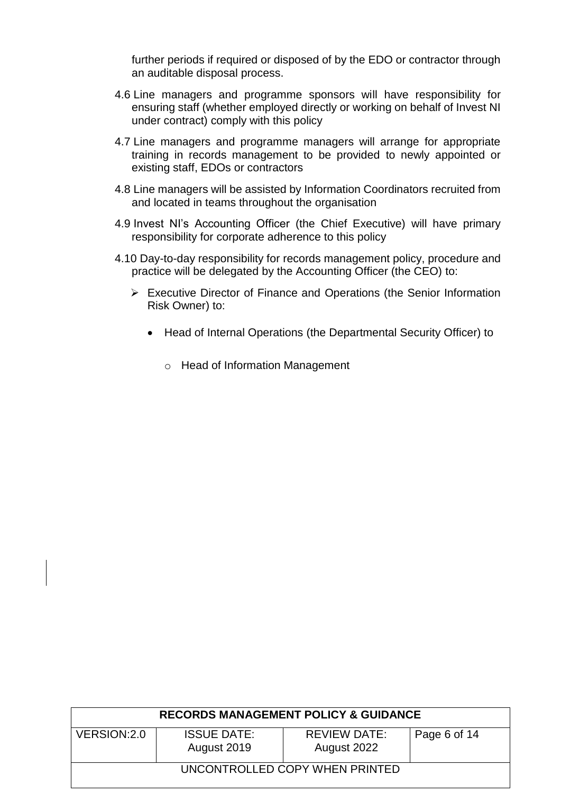further periods if required or disposed of by the EDO or contractor through an auditable disposal process.

- 4.6 Line managers and programme sponsors will have responsibility for ensuring staff (whether employed directly or working on behalf of Invest NI under contract) comply with this policy
- 4.7 Line managers and programme managers will arrange for appropriate training in records management to be provided to newly appointed or existing staff, EDOs or contractors
- 4.8 Line managers will be assisted by Information Coordinators recruited from and located in teams throughout the organisation
- 4.9 Invest NI's Accounting Officer (the Chief Executive) will have primary responsibility for corporate adherence to this policy
- 4.10 Day-to-day responsibility for records management policy, procedure and practice will be delegated by the Accounting Officer (the CEO) to:
	- Executive Director of Finance and Operations (the Senior Information Risk Owner) to:
		- Head of Internal Operations (the Departmental Security Officer) to
			- o Head of Information Management

| <b>RECORDS MANAGEMENT POLICY &amp; GUIDANCE</b> |                                   |                                    |              |  |
|-------------------------------------------------|-----------------------------------|------------------------------------|--------------|--|
| VERSION: 2.0                                    | <b>ISSUE DATE:</b><br>August 2019 | <b>REVIEW DATE:</b><br>August 2022 | Page 6 of 14 |  |
| UNCONTROLLED COPY WHEN PRINTED                  |                                   |                                    |              |  |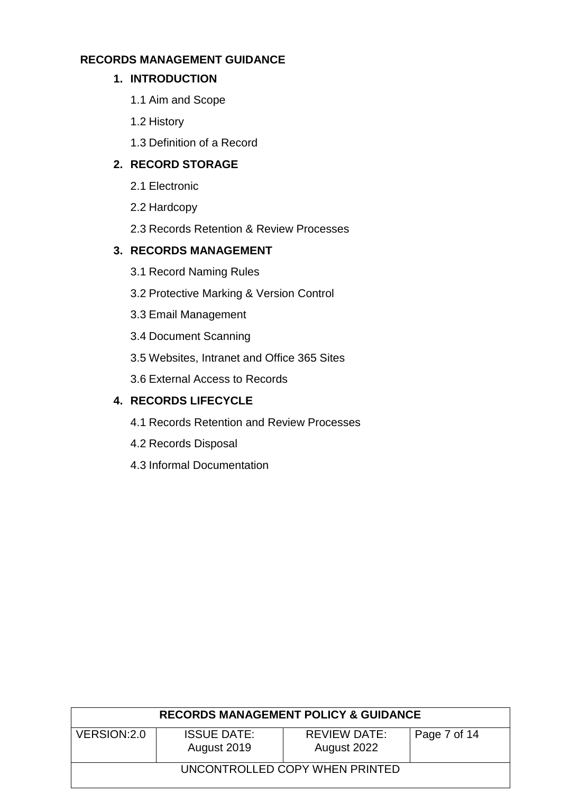# **RECORDS MANAGEMENT GUIDANCE**

# **1. INTRODUCTION**

- 1.1 Aim and Scope
- 1.2 History
- 1.3 Definition of a Record

# **2. RECORD STORAGE**

- 2.1 Electronic
- 2.2 Hardcopy
- 2.3 Records Retention & Review Processes

# **3. RECORDS MANAGEMENT**

- 3.1 Record Naming Rules
- 3.2 Protective Marking & Version Control
- 3.3 Email Management
- 3.4 Document Scanning
- 3.5 Websites, Intranet and Office 365 Sites
- 3.6 External Access to Records

# **4. RECORDS LIFECYCLE**

- 4.1 Records Retention and Review Processes
- 4.2 Records Disposal
- 4.3 Informal Documentation

| <b>RECORDS MANAGEMENT POLICY &amp; GUIDANCE</b> |                                   |                                    |              |  |
|-------------------------------------------------|-----------------------------------|------------------------------------|--------------|--|
| VERSION: 2.0                                    | <b>ISSUE DATE:</b><br>August 2019 | <b>REVIEW DATE:</b><br>August 2022 | Page 7 of 14 |  |
| UNCONTROLLED COPY WHEN PRINTED                  |                                   |                                    |              |  |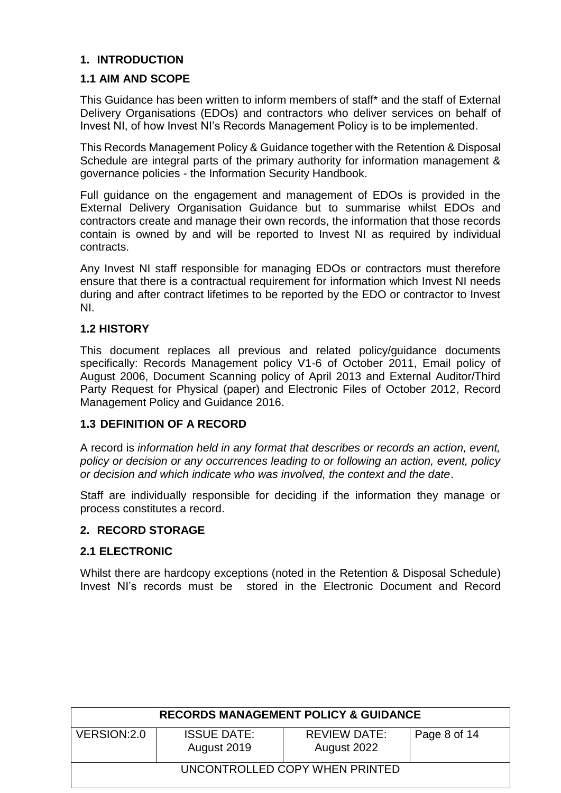# **1. INTRODUCTION**

### **1.1 AIM AND SCOPE**

This Guidance has been written to inform members of staff\* and the staff of External Delivery Organisations (EDOs) and contractors who deliver services on behalf of Invest NI, of how Invest NI's Records Management Policy is to be implemented.

This Records Management Policy & Guidance together with the Retention & Disposal Schedule are integral parts of the primary authority for information management & governance policies - the Information Security Handbook.

Full guidance on the engagement and management of EDOs is provided in the External Delivery Organisation Guidance but to summarise whilst EDOs and contractors create and manage their own records, the information that those records contain is owned by and will be reported to Invest NI as required by individual contracts.

Any Invest NI staff responsible for managing EDOs or contractors must therefore ensure that there is a contractual requirement for information which Invest NI needs during and after contract lifetimes to be reported by the EDO or contractor to Invest NI.

## **1.2 HISTORY**

This document replaces all previous and related policy/guidance documents specifically: Records Management policy V1-6 of October 2011, Email policy of August 2006, Document Scanning policy of April 2013 and External Auditor/Third Party Request for Physical (paper) and Electronic Files of October 2012, Record Management Policy and Guidance 2016.

## **1.3 DEFINITION OF A RECORD**

A record is *information held in any format that describes or records an action, event, policy or decision or any occurrences leading to or following an action, event, policy or decision and which indicate who was involved, the context and the date*.

Staff are individually responsible for deciding if the information they manage or process constitutes a record.

#### **2. RECORD STORAGE**

#### **2.1 ELECTRONIC**

Whilst there are hardcopy exceptions (noted in the Retention & Disposal Schedule) Invest NI's records must be stored in the Electronic Document and Record

| <b>RECORDS MANAGEMENT POLICY &amp; GUIDANCE</b> |                                   |                                    |              |  |
|-------------------------------------------------|-----------------------------------|------------------------------------|--------------|--|
| VERSION: 2.0                                    | <b>ISSUE DATE:</b><br>August 2019 | <b>REVIEW DATE:</b><br>August 2022 | Page 8 of 14 |  |
| UNCONTROLLED COPY WHEN PRINTED                  |                                   |                                    |              |  |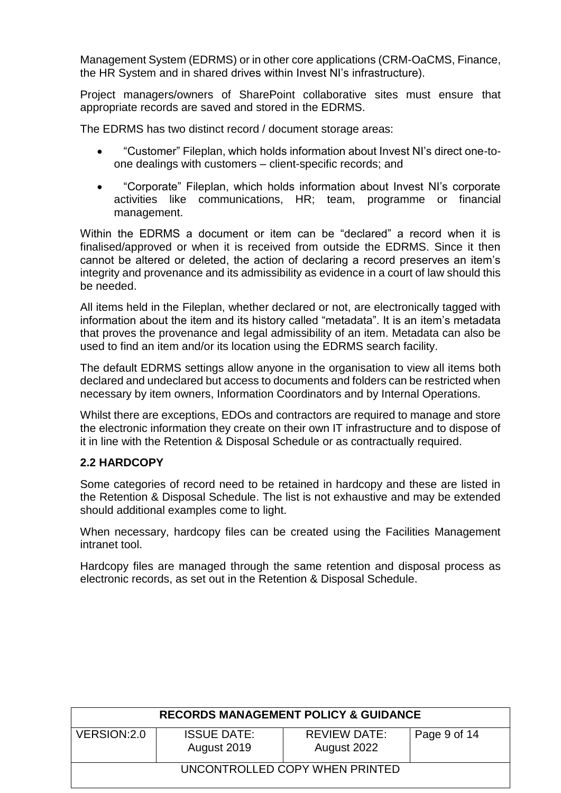Management System (EDRMS) or in other core applications (CRM-OaCMS, Finance, the HR System and in shared drives within Invest NI's infrastructure).

Project managers/owners of SharePoint collaborative sites must ensure that appropriate records are saved and stored in the EDRMS.

The EDRMS has two distinct record / document storage areas:

- "Customer" Fileplan, which holds information about Invest NI's direct one-toone dealings with customers – client-specific records; and
- "Corporate" Fileplan, which holds information about Invest NI's corporate activities like communications, HR; team, programme or financial management.

Within the EDRMS a document or item can be "declared" a record when it is finalised/approved or when it is received from outside the EDRMS. Since it then cannot be altered or deleted, the action of declaring a record preserves an item's integrity and provenance and its admissibility as evidence in a court of law should this be needed.

All items held in the Fileplan, whether declared or not, are electronically tagged with information about the item and its history called "metadata". It is an item's metadata that proves the provenance and legal admissibility of an item. Metadata can also be used to find an item and/or its location using the EDRMS search facility.

The default EDRMS settings allow anyone in the organisation to view all items both declared and undeclared but access to documents and folders can be restricted when necessary by item owners, Information Coordinators and by Internal Operations.

Whilst there are exceptions, EDOs and contractors are required to manage and store the electronic information they create on their own IT infrastructure and to dispose of it in line with the Retention & Disposal Schedule or as contractually required.

## **2.2 HARDCOPY**

Some categories of record need to be retained in hardcopy and these are listed in the Retention & Disposal Schedule. The list is not exhaustive and may be extended should additional examples come to light.

When necessary, hardcopy files can be created using the Facilities Management intranet tool.

Hardcopy files are managed through the same retention and disposal process as electronic records, as set out in the Retention & Disposal Schedule.

| <b>RECORDS MANAGEMENT POLICY &amp; GUIDANCE</b> |                                   |                                    |              |  |
|-------------------------------------------------|-----------------------------------|------------------------------------|--------------|--|
| VERSION: 2.0                                    | <b>ISSUE DATE:</b><br>August 2019 | <b>REVIEW DATE:</b><br>August 2022 | Page 9 of 14 |  |
| UNCONTROLLED COPY WHEN PRINTED                  |                                   |                                    |              |  |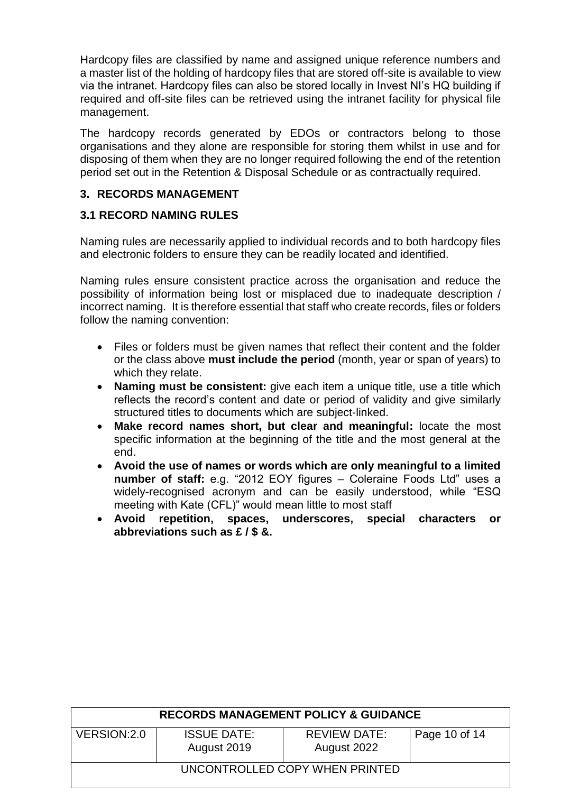Hardcopy files are classified by name and assigned unique reference numbers and a master list of the holding of hardcopy files that are stored off-site is available to view via the intranet. Hardcopy files can also be stored locally in Invest NI's HQ building if required and off-site files can be retrieved using the intranet facility for physical file management.

The hardcopy records generated by EDOs or contractors belong to those organisations and they alone are responsible for storing them whilst in use and for disposing of them when they are no longer required following the end of the retention period set out in the Retention & Disposal Schedule or as contractually required.

# **3. RECORDS MANAGEMENT**

# **3.1 RECORD NAMING RULES**

Naming rules are necessarily applied to individual records and to both hardcopy files and electronic folders to ensure they can be readily located and identified.

Naming rules ensure consistent practice across the organisation and reduce the possibility of information being lost or misplaced due to inadequate description / incorrect naming. It is therefore essential that staff who create records, files or folders follow the naming convention:

- Files or folders must be given names that reflect their content and the folder or the class above **must include the period** (month, year or span of years) to which they relate.
- **Naming must be consistent:** give each item a unique title, use a title which reflects the record's content and date or period of validity and give similarly structured titles to documents which are subject-linked.
- **Make record names short, but clear and meaningful:** locate the most specific information at the beginning of the title and the most general at the end.
- **Avoid the use of names or words which are only meaningful to a limited number of staff:** e.g. "2012 EOY figures – Coleraine Foods Ltd" uses a widely-recognised acronym and can be easily understood, while "ESQ meeting with Kate (CFL)" would mean little to most staff
- **Avoid repetition, spaces, underscores, special characters or abbreviations such as £ / \$ &.**

| <b>RECORDS MANAGEMENT POLICY &amp; GUIDANCE</b> |                                   |                                    |               |  |
|-------------------------------------------------|-----------------------------------|------------------------------------|---------------|--|
| VERSION: 2.0                                    | <b>ISSUE DATE:</b><br>August 2019 | <b>REVIEW DATE:</b><br>August 2022 | Page 10 of 14 |  |
| UNCONTROLLED COPY WHEN PRINTED                  |                                   |                                    |               |  |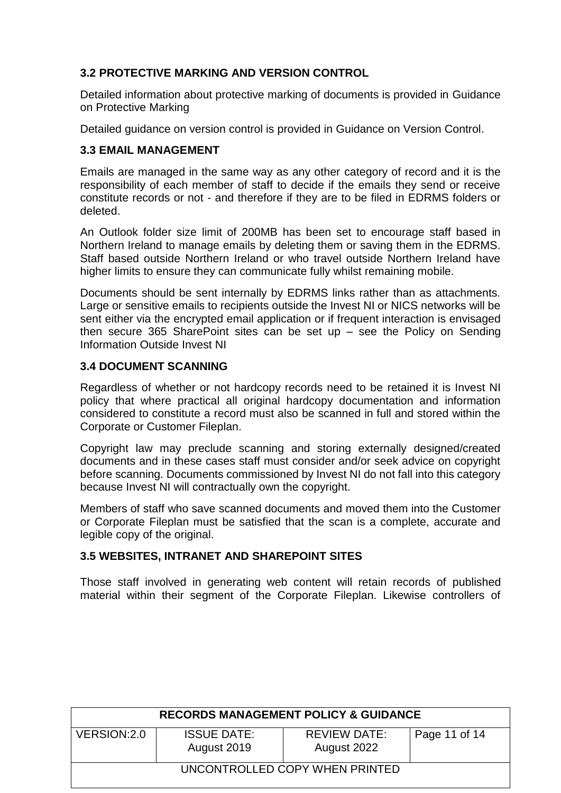# **3.2 PROTECTIVE MARKING AND VERSION CONTROL**

Detailed information about protective marking of documents is provided in Guidance on Protective Marking

Detailed guidance on version control is provided in Guidance on Version Control.

## **3.3 EMAIL MANAGEMENT**

Emails are managed in the same way as any other category of record and it is the responsibility of each member of staff to decide if the emails they send or receive constitute records or not - and therefore if they are to be filed in EDRMS folders or deleted.

An Outlook folder size limit of 200MB has been set to encourage staff based in Northern Ireland to manage emails by deleting them or saving them in the EDRMS. Staff based outside Northern Ireland or who travel outside Northern Ireland have higher limits to ensure they can communicate fully whilst remaining mobile.

Documents should be sent internally by EDRMS links rather than as attachments. Large or sensitive emails to recipients outside the Invest NI or NICS networks will be sent either via the encrypted email application or if frequent interaction is envisaged then secure 365 SharePoint sites can be set up – see the Policy on Sending Information Outside Invest NI

## **3.4 DOCUMENT SCANNING**

Regardless of whether or not hardcopy records need to be retained it is Invest NI policy that where practical all original hardcopy documentation and information considered to constitute a record must also be scanned in full and stored within the Corporate or Customer Fileplan.

Copyright law may preclude scanning and storing externally designed/created documents and in these cases staff must consider and/or seek advice on copyright before scanning. Documents commissioned by Invest NI do not fall into this category because Invest NI will contractually own the copyright.

Members of staff who save scanned documents and moved them into the Customer or Corporate Fileplan must be satisfied that the scan is a complete, accurate and legible copy of the original.

## **3.5 WEBSITES, INTRANET AND SHAREPOINT SITES**

Those staff involved in generating web content will retain records of published material within their segment of the Corporate Fileplan. Likewise controllers of

| <b>RECORDS MANAGEMENT POLICY &amp; GUIDANCE</b> |                                   |                                    |               |  |
|-------------------------------------------------|-----------------------------------|------------------------------------|---------------|--|
| VERSION: 2.0                                    | <b>ISSUE DATE:</b><br>August 2019 | <b>REVIEW DATE:</b><br>August 2022 | Page 11 of 14 |  |
| UNCONTROLLED COPY WHEN PRINTED                  |                                   |                                    |               |  |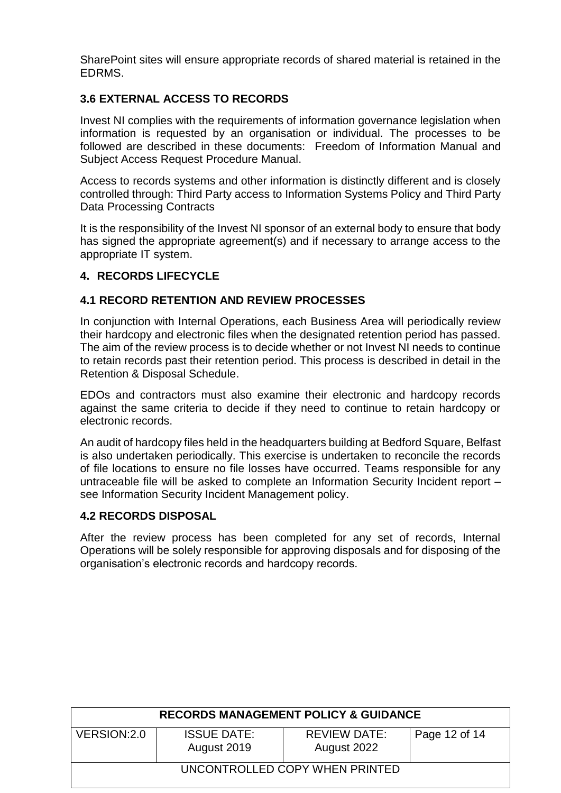SharePoint sites will ensure appropriate records of shared material is retained in the EDRMS.

# **3.6 EXTERNAL ACCESS TO RECORDS**

Invest NI complies with the requirements of information governance legislation when information is requested by an organisation or individual. The processes to be followed are described in these documents: Freedom of Information Manual and Subject Access Request Procedure Manual.

Access to records systems and other information is distinctly different and is closely controlled through: Third Party access to Information Systems Policy and Third Party Data Processing Contracts

It is the responsibility of the Invest NI sponsor of an external body to ensure that body has signed the appropriate agreement(s) and if necessary to arrange access to the appropriate IT system.

# **4. RECORDS LIFECYCLE**

# **4.1 RECORD RETENTION AND REVIEW PROCESSES**

In conjunction with Internal Operations, each Business Area will periodically review their hardcopy and electronic files when the designated retention period has passed. The aim of the review process is to decide whether or not Invest NI needs to continue to retain records past their retention period. This process is described in detail in the Retention & Disposal Schedule.

EDOs and contractors must also examine their electronic and hardcopy records against the same criteria to decide if they need to continue to retain hardcopy or electronic records.

An audit of hardcopy files held in the headquarters building at Bedford Square, Belfast is also undertaken periodically. This exercise is undertaken to reconcile the records of file locations to ensure no file losses have occurred. Teams responsible for any untraceable file will be asked to complete an Information Security Incident report – see Information Security Incident Management policy.

## **4.2 RECORDS DISPOSAL**

After the review process has been completed for any set of records, Internal Operations will be solely responsible for approving disposals and for disposing of the organisation's electronic records and hardcopy records.

| <b>RECORDS MANAGEMENT POLICY &amp; GUIDANCE</b> |                                   |                                    |               |  |
|-------------------------------------------------|-----------------------------------|------------------------------------|---------------|--|
| VERSION: 2.0                                    | <b>ISSUE DATE:</b><br>August 2019 | <b>REVIEW DATE:</b><br>August 2022 | Page 12 of 14 |  |
| UNCONTROLLED COPY WHEN PRINTED                  |                                   |                                    |               |  |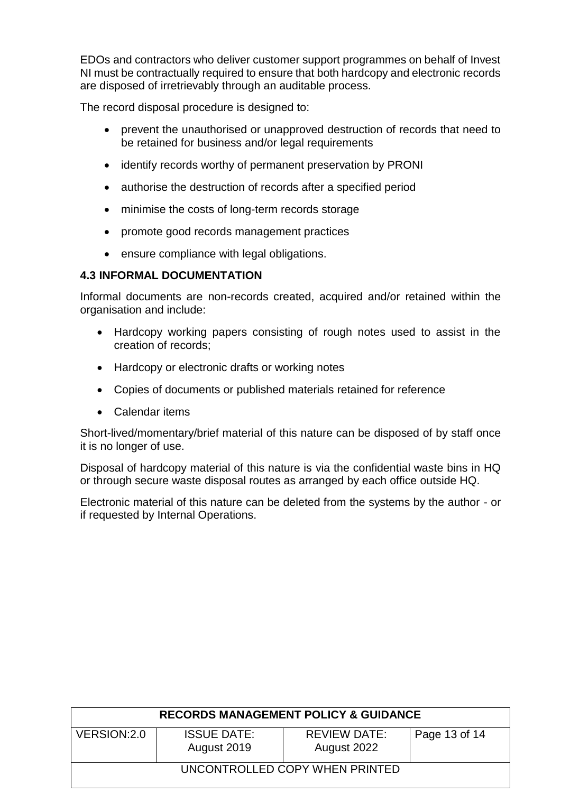EDOs and contractors who deliver customer support programmes on behalf of Invest NI must be contractually required to ensure that both hardcopy and electronic records are disposed of irretrievably through an auditable process.

The record disposal procedure is designed to:

- prevent the unauthorised or unapproved destruction of records that need to be retained for business and/or legal requirements
- identify records worthy of permanent preservation by PRONI
- authorise the destruction of records after a specified period
- minimise the costs of long-term records storage
- promote good records management practices
- ensure compliance with legal obligations.

# **4.3 INFORMAL DOCUMENTATION**

Informal documents are non-records created, acquired and/or retained within the organisation and include:

- Hardcopy working papers consisting of rough notes used to assist in the creation of records;
- Hardcopy or electronic drafts or working notes
- Copies of documents or published materials retained for reference
- Calendar items

Short-lived/momentary/brief material of this nature can be disposed of by staff once it is no longer of use.

Disposal of hardcopy material of this nature is via the confidential waste bins in HQ or through secure waste disposal routes as arranged by each office outside HQ.

Electronic material of this nature can be deleted from the systems by the author - or if requested by Internal Operations.

| <b>RECORDS MANAGEMENT POLICY &amp; GUIDANCE</b> |                                   |                                    |               |  |  |  |  |
|-------------------------------------------------|-----------------------------------|------------------------------------|---------------|--|--|--|--|
| VERSION: 2.0                                    | <b>ISSUE DATE:</b><br>August 2019 | <b>REVIEW DATE:</b><br>August 2022 | Page 13 of 14 |  |  |  |  |
| UNCONTROLLED COPY WHEN PRINTED                  |                                   |                                    |               |  |  |  |  |